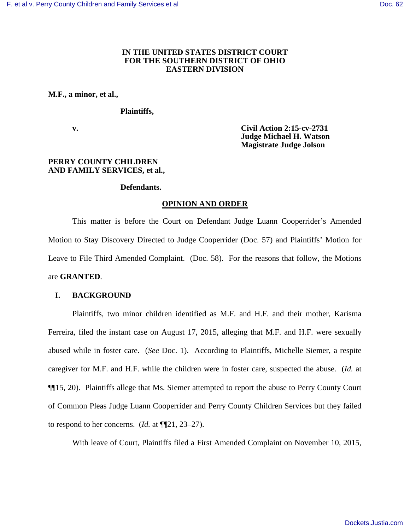# **IN THE UNITED STATES DISTRICT COURT FOR THE SOUTHERN DISTRICT OF OHIO EASTERN DIVISION**

### **M.F., a minor, et al.,**

#### **Plaintiffs,**

 **v. Civil Action 2:15-cv-2731 Judge Michael H. Watson Magistrate Judge Jolson** 

## **PERRY COUNTY CHILDREN AND FAMILY SERVICES, et al.,**

### **Defendants.**

### **OPINION AND ORDER**

This matter is before the Court on Defendant Judge Luann Cooperrider's Amended Motion to Stay Discovery Directed to Judge Cooperrider (Doc. 57) and Plaintiffs' Motion for Leave to File Third Amended Complaint. (Doc. 58). For the reasons that follow, the Motions are **GRANTED**.

### **I. BACKGROUND**

Plaintiffs, two minor children identified as M.F. and H.F. and their mother, Karisma Ferreira, filed the instant case on August 17, 2015, alleging that M.F. and H.F. were sexually abused while in foster care. (*See* Doc. 1). According to Plaintiffs, Michelle Siemer, a respite caregiver for M.F. and H.F. while the children were in foster care, suspected the abuse. (*Id.* at ¶¶15, 20). Plaintiffs allege that Ms. Siemer attempted to report the abuse to Perry County Court of Common Pleas Judge Luann Cooperrider and Perry County Children Services but they failed to respond to her concerns. (*Id.* at ¶¶21, 23–27).

With leave of Court, Plaintiffs filed a First Amended Complaint on November 10, 2015,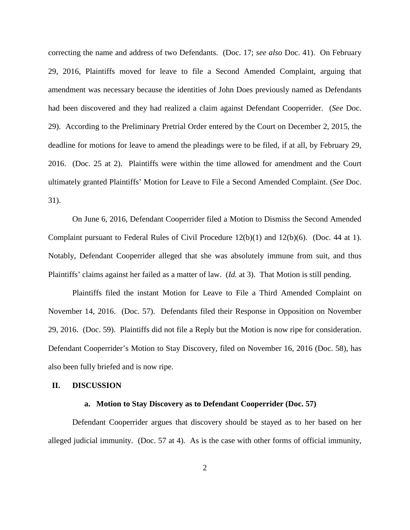correcting the name and address of two Defendants. (Doc. 17; *see also* Doc. 41). On February 29, 2016, Plaintiffs moved for leave to file a Second Amended Complaint, arguing that amendment was necessary because the identities of John Does previously named as Defendants had been discovered and they had realized a claim against Defendant Cooperrider. (*See* Doc. 29). According to the Preliminary Pretrial Order entered by the Court on December 2, 2015, the deadline for motions for leave to amend the pleadings were to be filed, if at all, by February 29, 2016. (Doc. 25 at 2). Plaintiffs were within the time allowed for amendment and the Court ultimately granted Plaintiffs' Motion for Leave to File a Second Amended Complaint. (*See* Doc. 31).

On June 6, 2016, Defendant Cooperrider filed a Motion to Dismiss the Second Amended Complaint pursuant to Federal Rules of Civil Procedure 12(b)(1) and 12(b)(6). (Doc. 44 at 1). Notably, Defendant Cooperrider alleged that she was absolutely immune from suit, and thus Plaintiffs' claims against her failed as a matter of law. (*Id.* at 3). That Motion is still pending.

Plaintiffs filed the instant Motion for Leave to File a Third Amended Complaint on November 14, 2016. (Doc. 57). Defendants filed their Response in Opposition on November 29, 2016. (Doc. 59). Plaintiffs did not file a Reply but the Motion is now ripe for consideration. Defendant Cooperrider's Motion to Stay Discovery, filed on November 16, 2016 (Doc. 58), has also been fully briefed and is now ripe.

### **II. DISCUSSION**

#### **a. Motion to Stay Discovery as to Defendant Cooperrider (Doc. 57)**

Defendant Cooperrider argues that discovery should be stayed as to her based on her alleged judicial immunity. (Doc. 57 at 4). As is the case with other forms of official immunity,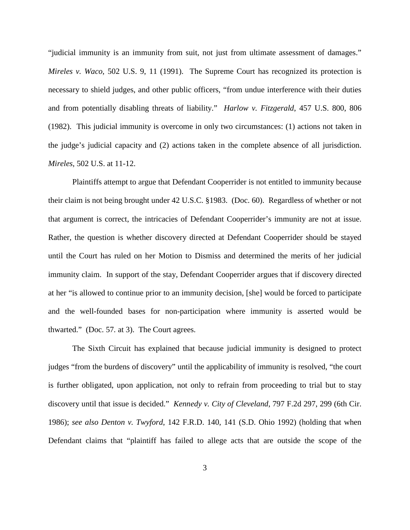"judicial immunity is an immunity from suit, not just from ultimate assessment of damages." *Mireles v. Waco*, 502 U.S. 9, 11 (1991). The Supreme Court has recognized its protection is necessary to shield judges, and other public officers, "from undue interference with their duties and from potentially disabling threats of liability." *Harlow v. Fitzgerald*, 457 U.S. 800, 806 (1982). This judicial immunity is overcome in only two circumstances: (1) actions not taken in the judge's judicial capacity and (2) actions taken in the complete absence of all jurisdiction. *Mireles*, 502 U.S. at 11-12.

Plaintiffs attempt to argue that Defendant Cooperrider is not entitled to immunity because their claim is not being brought under 42 U.S.C. §1983. (Doc. 60). Regardless of whether or not that argument is correct, the intricacies of Defendant Cooperrider's immunity are not at issue. Rather, the question is whether discovery directed at Defendant Cooperrider should be stayed until the Court has ruled on her Motion to Dismiss and determined the merits of her judicial immunity claim. In support of the stay, Defendant Cooperrider argues that if discovery directed at her "is allowed to continue prior to an immunity decision, [she] would be forced to participate and the well-founded bases for non-participation where immunity is asserted would be thwarted." (Doc. 57*.* at 3). The Court agrees.

The Sixth Circuit has explained that because judicial immunity is designed to protect judges "from the burdens of discovery" until the applicability of immunity is resolved, "the court is further obligated, upon application, not only to refrain from proceeding to trial but to stay discovery until that issue is decided." *Kennedy v. City of Cleveland*, 797 F.2d 297, 299 (6th Cir. 1986); *see also Denton v. Twyford*, 142 F.R.D. 140, 141 (S.D. Ohio 1992) (holding that when Defendant claims that "plaintiff has failed to allege acts that are outside the scope of the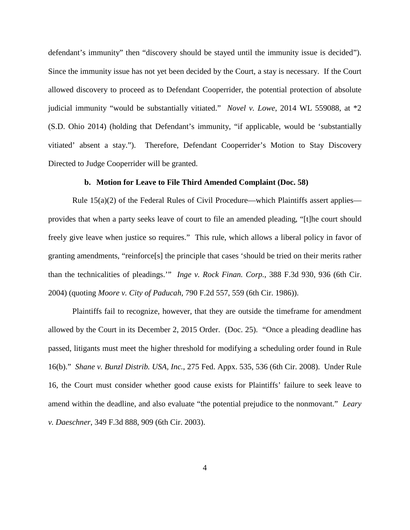defendant's immunity" then "discovery should be stayed until the immunity issue is decided"). Since the immunity issue has not yet been decided by the Court, a stay is necessary. If the Court allowed discovery to proceed as to Defendant Cooperrider, the potential protection of absolute judicial immunity "would be substantially vitiated." *Novel v. Lowe*, 2014 WL 559088, at \*2 (S.D. Ohio 2014) (holding that Defendant's immunity, "if applicable, would be 'substantially vitiated' absent a stay."). Therefore, Defendant Cooperrider's Motion to Stay Discovery Directed to Judge Cooperrider will be granted.

### **b. Motion for Leave to File Third Amended Complaint (Doc. 58)**

Rule  $15(a)(2)$  of the Federal Rules of Civil Procedure—which Plaintiffs assert applies provides that when a party seeks leave of court to file an amended pleading, "[t]he court should freely give leave when justice so requires." This rule, which allows a liberal policy in favor of granting amendments, "reinforce[s] the principle that cases 'should be tried on their merits rather than the technicalities of pleadings.'" *Inge v. Rock Finan. Corp.*, 388 F.3d 930, 936 (6th Cir. 2004) (quoting *Moore v. City of Paducah*, 790 F.2d 557, 559 (6th Cir. 1986)).

Plaintiffs fail to recognize, however, that they are outside the timeframe for amendment allowed by the Court in its December 2, 2015 Order. (Doc. 25). "Once a pleading deadline has passed, litigants must meet the higher threshold for modifying a scheduling order found in Rule 16(b)." *Shane v. Bunzl Distrib. USA, Inc.*, 275 Fed. Appx. 535, 536 (6th Cir. 2008). Under Rule 16, the Court must consider whether good cause exists for Plaintiffs' failure to seek leave to amend within the deadline, and also evaluate "the potential prejudice to the nonmovant." *Leary v. Daeschner*, 349 F.3d 888, 909 (6th Cir. 2003).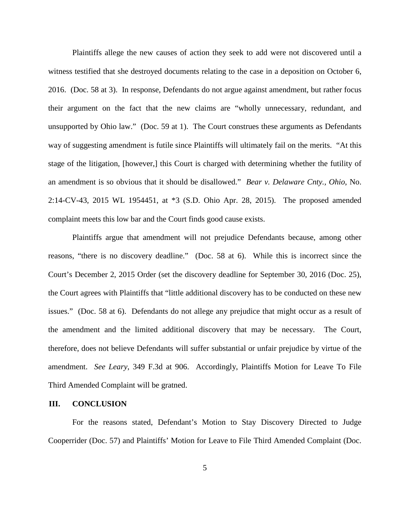Plaintiffs allege the new causes of action they seek to add were not discovered until a witness testified that she destroyed documents relating to the case in a deposition on October 6, 2016. (Doc. 58 at 3). In response, Defendants do not argue against amendment, but rather focus their argument on the fact that the new claims are "wholly unnecessary, redundant, and unsupported by Ohio law." (Doc. 59 at 1). The Court construes these arguments as Defendants way of suggesting amendment is futile since Plaintiffs will ultimately fail on the merits. "At this stage of the litigation, [however,] this Court is charged with determining whether the futility of an amendment is so obvious that it should be disallowed." *Bear v. Delaware Cnty., Ohio*, No. 2:14-CV-43, 2015 WL 1954451, at \*3 (S.D. Ohio Apr. 28, 2015). The proposed amended complaint meets this low bar and the Court finds good cause exists.

Plaintiffs argue that amendment will not prejudice Defendants because, among other reasons, "there is no discovery deadline." (Doc. 58 at 6). While this is incorrect since the Court's December 2, 2015 Order (set the discovery deadline for September 30, 2016 (Doc. 25), the Court agrees with Plaintiffs that "little additional discovery has to be conducted on these new issues." (Doc. 58 at 6). Defendants do not allege any prejudice that might occur as a result of the amendment and the limited additional discovery that may be necessary. The Court, therefore, does not believe Defendants will suffer substantial or unfair prejudice by virtue of the amendment. *See Leary*, 349 F.3d at 906. Accordingly, Plaintiffs Motion for Leave To File Third Amended Complaint will be gratned.

### **III. CONCLUSION**

For the reasons stated, Defendant's Motion to Stay Discovery Directed to Judge Cooperrider (Doc. 57) and Plaintiffs' Motion for Leave to File Third Amended Complaint (Doc.